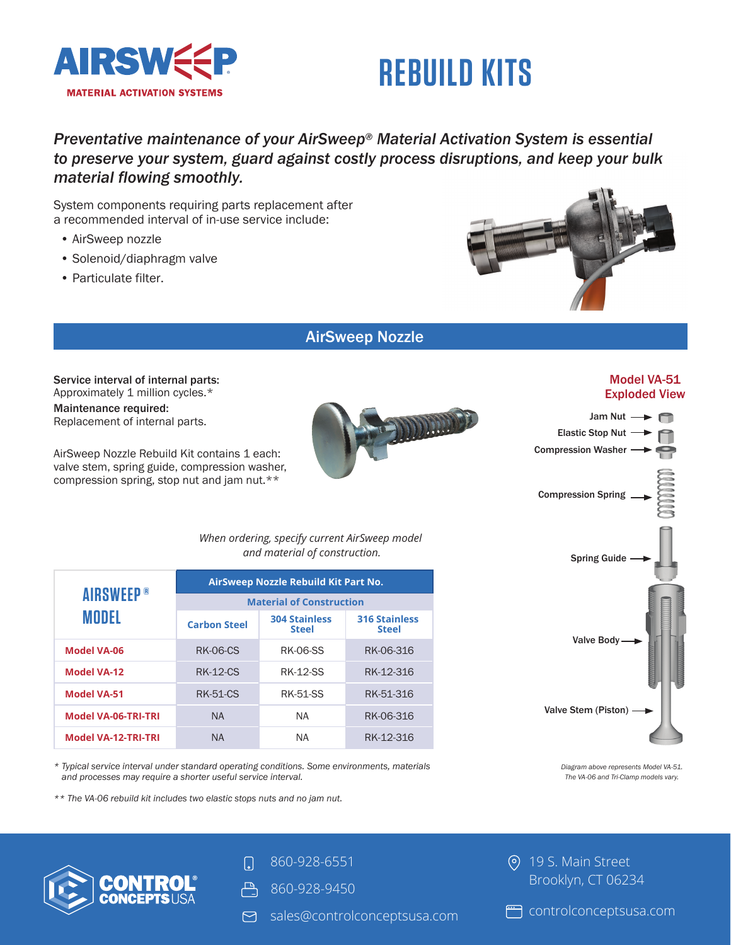

# **REBUILD KITS**

### *Preventative maintenance of your AirSweep ® Material Activation System is essential to preserve your system, guard against costly process disruptions, and keep your bulk material flowing smoothly.*

System components requiring parts replacement after a recommended interval of in-use service include:

- AirSweep nozzle
- Solenoid/diaphragm valve
- Particulate filter.



### AirSweep Nozzle

N.

Service interval of internal parts: Approximately 1 million cycles.\* Maintenance required: Replacement of internal parts.

AirSweep Nozzle Rebuild Kit contains 1 each: valve stem, spring guide, compression washer, compression spring, stop nut and jam nut.\*\*

> *When ordering, specify current AirSweep model and material of construction.*

| <b>AIRSWEEP®</b><br>MODEL  | AirSweep Nozzle Rebuild Kit Part No. |                                      |                                      |  |
|----------------------------|--------------------------------------|--------------------------------------|--------------------------------------|--|
|                            | <b>Material of Construction</b>      |                                      |                                      |  |
|                            | <b>Carbon Steel</b>                  | <b>304 Stainless</b><br><b>Steel</b> | <b>316 Stainless</b><br><b>Steel</b> |  |
| <b>Model VA-06</b>         | <b>RK-06-CS</b>                      | <b>RK-06-SS</b>                      | RK-06-316                            |  |
| <b>Model VA-12</b>         | <b>RK-12-CS</b>                      | <b>RK-12-SS</b>                      | RK-12-316                            |  |
| <b>Model VA-51</b>         | <b>RK-51-CS</b>                      | <b>RK-51-SS</b>                      | RK-51-316                            |  |
| <b>Model VA-06-TRI-TRI</b> | <b>NA</b>                            | <b>NA</b>                            | RK-06-316                            |  |
| <b>Model VA-12-TRI-TRI</b> | <b>NA</b>                            | ΝA                                   | RK-12-316                            |  |

*\* Typical service interval under standard operating conditions. Some environments, materials and processes may require a shorter useful service interval.*

*\*\* The VA-06 rebuild kit includes two elastic stops nuts and no jam nut.*





*Diagram above represents Model VA-51. The VA-06 and Tri-Clamp models vary.* 

860-928-6551

- **凸** 860-928-9450
- sales@controlconceptsusa.com

**(o)** 19 S. Main Street Brooklyn, CT 06234